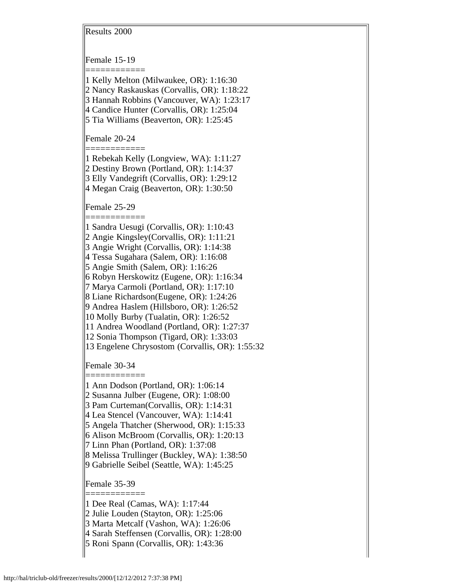Results 2000

Female 15-19

============ 1 Kelly Melton (Milwaukee, OR): 1:16:30

2 Nancy Raskauskas (Corvallis, OR): 1:18:22

3 Hannah Robbins (Vancouver, WA): 1:23:17

4 Candice Hunter (Corvallis, OR): 1:25:04

5 Tia Williams (Beaverton, OR): 1:25:45

Female 20-24

============ 1 Rebekah Kelly (Longview, WA): 1:11:27 2 Destiny Brown (Portland, OR): 1:14:37 3 Elly Vandegrift (Corvallis, OR): 1:29:12 4 Megan Craig (Beaverton, OR): 1:30:50

Female 25-29

============ 1 Sandra Uesugi (Corvallis, OR): 1:10:43

2 Angie Kingsley(Corvallis, OR): 1:11:21

3 Angie Wright (Corvallis, OR): 1:14:38

4 Tessa Sugahara (Salem, OR): 1:16:08

5 Angie Smith (Salem, OR): 1:16:26

6 Robyn Herskowitz (Eugene, OR): 1:16:34

7 Marya Carmoli (Portland, OR): 1:17:10

8 Liane Richardson(Eugene, OR): 1:24:26

9 Andrea Haslem (Hillsboro, OR): 1:26:52

10 Molly Burby (Tualatin, OR): 1:26:52

11 Andrea Woodland (Portland, OR): 1:27:37

12 Sonia Thompson (Tigard, OR): 1:33:03

13 Engelene Chrysostom (Corvallis, OR): 1:55:32

Female 30-34 ============

1 Ann Dodson (Portland, OR): 1:06:14

2 Susanna Julber (Eugene, OR): 1:08:00

3 Pam Curteman(Corvallis, OR): 1:14:31

4 Lea Stencel (Vancouver, WA): 1:14:41

5 Angela Thatcher (Sherwood, OR): 1:15:33

6 Alison McBroom (Corvallis, OR): 1:20:13

7 Linn Phan (Portland, OR): 1:37:08

8 Melissa Trullinger (Buckley, WA): 1:38:50

9 Gabrielle Seibel (Seattle, WA): 1:45:25

Female 35-39 ============

1 Dee Real (Camas, WA): 1:17:44

2 Julie Louden (Stayton, OR): 1:25:06

3 Marta Metcalf (Vashon, WA): 1:26:06

4 Sarah Steffensen (Corvallis, OR): 1:28:00

5 Roni Spann (Corvallis, OR): 1:43:36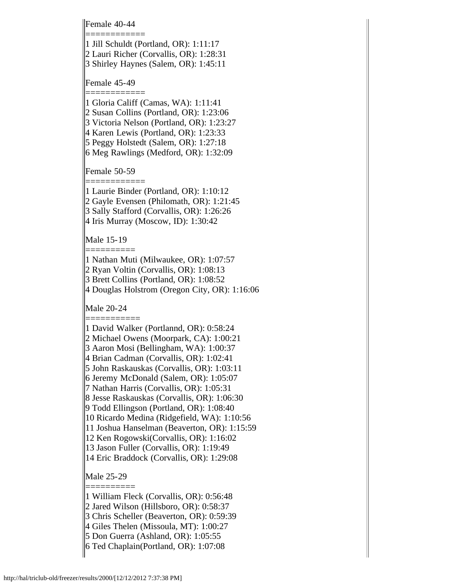Female 40-44 ============

1 Jill Schuldt (Portland, OR): 1:11:17 2 Lauri Richer (Corvallis, OR): 1:28:31

3 Shirley Haynes (Salem, OR): 1:45:11

Female 45-49

============ 1 Gloria Califf (Camas, WA): 1:11:41

2 Susan Collins (Portland, OR): 1:23:06

3 Victoria Nelson (Portland, OR): 1:23:27

4 Karen Lewis (Portland, OR): 1:23:33

5 Peggy Holstedt (Salem, OR): 1:27:18

6 Meg Rawlings (Medford, OR): 1:32:09

Female 50-59

============ 1 Laurie Binder (Portland, OR): 1:10:12 2 Gayle Evensen (Philomath, OR): 1:21:45 3 Sally Stafford (Corvallis, OR): 1:26:26 4 Iris Murray (Moscow, ID): 1:30:42

Male 15-19

========== 1 Nathan Muti (Milwaukee, OR): 1:07:57 2 Ryan Voltin (Corvallis, OR): 1:08:13 3 Brett Collins (Portland, OR): 1:08:52

4 Douglas Holstrom (Oregon City, OR): 1:16:06

Male 20-24

=========== 1 David Walker (Portlannd, OR): 0:58:24

2 Michael Owens (Moorpark, CA): 1:00:21

3 Aaron Mosi (Bellingham, WA): 1:00:37

4 Brian Cadman (Corvallis, OR): 1:02:41

5 John Raskauskas (Corvallis, OR): 1:03:11

6 Jeremy McDonald (Salem, OR): 1:05:07

7 Nathan Harris (Corvallis, OR): 1:05:31

8 Jesse Raskauskas (Corvallis, OR): 1:06:30

9 Todd Ellingson (Portland, OR): 1:08:40

10 Ricardo Medina (Ridgefield, WA): 1:10:56

11 Joshua Hanselman (Beaverton, OR): 1:15:59

12 Ken Rogowski(Corvallis, OR): 1:16:02

13 Jason Fuller (Corvallis, OR): 1:19:49

14 Eric Braddock (Corvallis, OR): 1:29:08

Male 25-29

==========

1 William Fleck (Corvallis, OR): 0:56:48

2 Jared Wilson (Hillsboro, OR): 0:58:37

3 Chris Scheller (Beaverton, OR): 0:59:39

4 Giles Thelen (Missoula, MT): 1:00:27

5 Don Guerra (Ashland, OR): 1:05:55

6 Ted Chaplain(Portland, OR): 1:07:08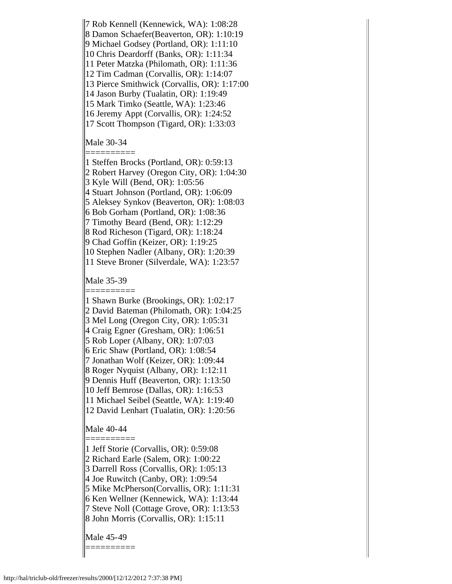7 Rob Kennell (Kennewick, WA): 1:08:28 8 Damon Schaefer(Beaverton, OR): 1:10:19 9 Michael Godsey (Portland, OR): 1:11:10 10 Chris Deardorff (Banks, OR): 1:11:34 11 Peter Matzka (Philomath, OR): 1:11:36 12 Tim Cadman (Corvallis, OR): 1:14:07 13 Pierce Smithwick (Corvallis, OR): 1:17:00 14 Jason Burby (Tualatin, OR): 1:19:49 15 Mark Timko (Seattle, WA): 1:23:46 16 Jeremy Appt (Corvallis, OR): 1:24:52 17 Scott Thompson (Tigard, OR): 1:33:03

Male 30-34

========== 1 Steffen Brocks (Portland, OR): 0:59:13 2 Robert Harvey (Oregon City, OR): 1:04:30 3 Kyle Will (Bend, OR): 1:05:56 4 Stuart Johnson (Portland, OR): 1:06:09 5 Aleksey Synkov (Beaverton, OR): 1:08:03 6 Bob Gorham (Portland, OR): 1:08:36 7 Timothy Beard (Bend, OR): 1:12:29 8 Rod Richeson (Tigard, OR): 1:18:24 9 Chad Goffin (Keizer, OR): 1:19:25 10 Stephen Nadler (Albany, OR): 1:20:39 11 Steve Broner (Silverdale, WA): 1:23:57

Male 35-39

========== 1 Shawn Burke (Brookings, OR): 1:02:17 2 David Bateman (Philomath, OR): 1:04:25 3 Mel Long (Oregon City, OR): 1:05:31 4 Craig Egner (Gresham, OR): 1:06:51 5 Rob Loper (Albany, OR): 1:07:03 6 Eric Shaw (Portland, OR): 1:08:54 7 Jonathan Wolf (Keizer, OR): 1:09:44 8 Roger Nyquist (Albany, OR): 1:12:11 9 Dennis Huff (Beaverton, OR): 1:13:50 10 Jeff Bemrose (Dallas, OR): 1:16:53 11 Michael Seibel (Seattle, WA): 1:19:40 12 David Lenhart (Tualatin, OR): 1:20:56

Male 40-44

========== 1 Jeff Storie (Corvallis, OR): 0:59:08

2 Richard Earle (Salem, OR): 1:00:22

3 Darrell Ross (Corvallis, OR): 1:05:13

4 Joe Ruwitch (Canby, OR): 1:09:54

5 Mike McPherson(Corvallis, OR): 1:11:31

6 Ken Wellner (Kennewick, WA): 1:13:44

7 Steve Noll (Cottage Grove, OR): 1:13:53

8 John Morris (Corvallis, OR): 1:15:11

Male 45-49

==========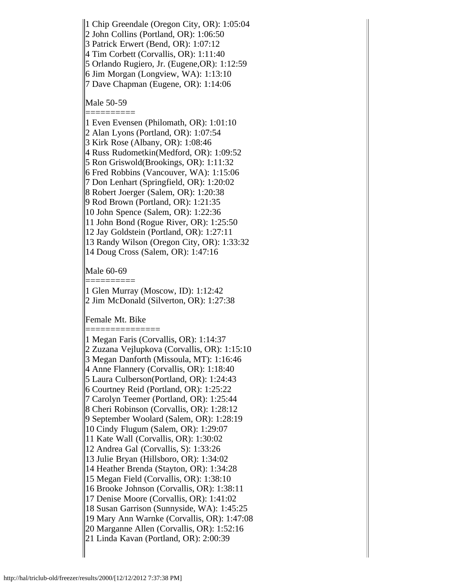1 Chip Greendale (Oregon City, OR): 1:05:04

2 John Collins (Portland, OR): 1:06:50

3 Patrick Erwert (Bend, OR): 1:07:12

4 Tim Corbett (Corvallis, OR): 1:11:40

5 Orlando Rugiero, Jr. (Eugene,OR): 1:12:59

6 Jim Morgan (Longview, WA): 1:13:10 7 Dave Chapman (Eugene, OR): 1:14:06

Male 50-59

==========

1 Even Evensen (Philomath, OR): 1:01:10 2 Alan Lyons (Portland, OR): 1:07:54 3 Kirk Rose (Albany, OR): 1:08:46 4 Russ Rudometkin(Medford, OR): 1:09:52 5 Ron Griswold(Brookings, OR): 1:11:32 6 Fred Robbins (Vancouver, WA): 1:15:06 7 Don Lenhart (Springfield, OR): 1:20:02 8 Robert Joerger (Salem, OR): 1:20:38 9 Rod Brown (Portland, OR): 1:21:35 10 John Spence (Salem, OR): 1:22:36 11 John Bond (Rogue River, OR): 1:25:50 12 Jay Goldstein (Portland, OR): 1:27:11 13 Randy Wilson (Oregon City, OR): 1:33:32 14 Doug Cross (Salem, OR): 1:47:16

Male 60-69

========== 1 Glen Murray (Moscow, ID): 1:12:42 2 Jim McDonald (Silverton, OR): 1:27:38

Female Mt. Bike

=============== 1 Megan Faris (Corvallis, OR): 1:14:37 2 Zuzana Vejlupkova (Corvallis, OR): 1:15:10 3 Megan Danforth (Missoula, MT): 1:16:46 4 Anne Flannery (Corvallis, OR): 1:18:40 5 Laura Culberson(Portland, OR): 1:24:43 6 Courtney Reid (Portland, OR): 1:25:22 7 Carolyn Teemer (Portland, OR): 1:25:44 8 Cheri Robinson (Corvallis, OR): 1:28:12 9 September Woolard (Salem, OR): 1:28:19 10 Cindy Flugum (Salem, OR): 1:29:07 11 Kate Wall (Corvallis, OR): 1:30:02 12 Andrea Gal (Corvallis, S): 1:33:26 13 Julie Bryan (Hillsboro, OR): 1:34:02 14 Heather Brenda (Stayton, OR): 1:34:28 15 Megan Field (Corvallis, OR): 1:38:10 16 Brooke Johnson (Corvallis, OR): 1:38:11 17 Denise Moore (Corvallis, OR): 1:41:02 18 Susan Garrison (Sunnyside, WA): 1:45:25 19 Mary Ann Warnke (Corvallis, OR): 1:47:08 20 Marganne Allen (Corvallis, OR): 1:52:16 21 Linda Kavan (Portland, OR): 2:00:39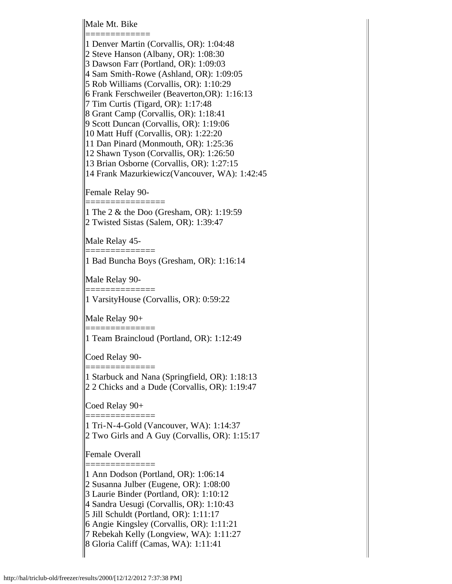Male Mt. Bike

============= 1 Denver Martin (Corvallis, OR): 1:04:48 2 Steve Hanson (Albany, OR): 1:08:30 3 Dawson Farr (Portland, OR): 1:09:03 4 Sam Smith-Rowe (Ashland, OR): 1:09:05 5 Rob Williams (Corvallis, OR): 1:10:29 6 Frank Ferschweiler (Beaverton,OR): 1:16:13 7 Tim Curtis (Tigard, OR): 1:17:48 8 Grant Camp (Corvallis, OR): 1:18:41 9 Scott Duncan (Corvallis, OR): 1:19:06 10 Matt Huff (Corvallis, OR): 1:22:20 11 Dan Pinard (Monmouth, OR): 1:25:36 12 Shawn Tyson (Corvallis, OR): 1:26:50 13 Brian Osborne (Corvallis, OR): 1:27:15 14 Frank Mazurkiewicz(Vancouver, WA): 1:42:45

Female Relay 90-

================

1 The 2 & the Doo (Gresham, OR): 1:19:59 2 Twisted Sistas (Salem, OR): 1:39:47

Male Relay 45-

==============

==============

==============

==============

1 Bad Buncha Boys (Gresham, OR): 1:16:14

Male Relay 90-

1 VarsityHouse (Corvallis, OR): 0:59:22

Male Relay 90+

1 Team Braincloud (Portland, OR): 1:12:49

Coed Relay 90-

1 Starbuck and Nana (Springfield, OR): 1:18:13 2 2 Chicks and a Dude (Corvallis, OR): 1:19:47

Coed Relay 90+

============== 1 Tri-N-4-Gold (Vancouver, WA): 1:14:37 2 Two Girls and A Guy (Corvallis, OR): 1:15:17

Female Overall

============== 1 Ann Dodson (Portland, OR): 1:06:14

2 Susanna Julber (Eugene, OR): 1:08:00

3 Laurie Binder (Portland, OR): 1:10:12

4 Sandra Uesugi (Corvallis, OR): 1:10:43

5 Jill Schuldt (Portland, OR): 1:11:17

6 Angie Kingsley (Corvallis, OR): 1:11:21

7 Rebekah Kelly (Longview, WA): 1:11:27

8 Gloria Califf (Camas, WA): 1:11:41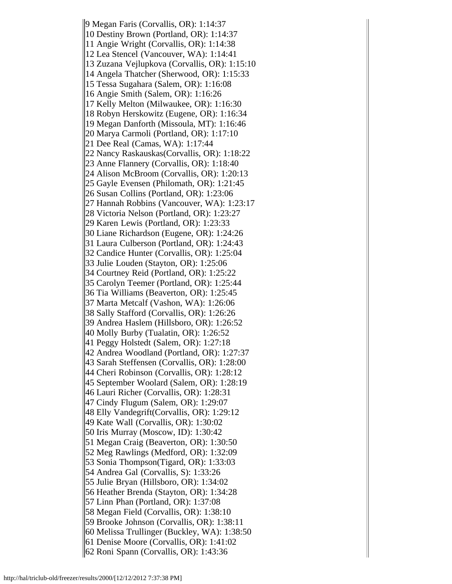9 Megan Faris (Corvallis, OR): 1:14:37 10 Destiny Brown (Portland, OR): 1:14:37 11 Angie Wright (Corvallis, OR): 1:14:38 12 Lea Stencel (Vancouver, WA): 1:14:41 13 Zuzana Vejlupkova (Corvallis, OR): 1:15:10 14 Angela Thatcher (Sherwood, OR): 1:15:33 15 Tessa Sugahara (Salem, OR): 1:16:08 16 Angie Smith (Salem, OR): 1:16:26 17 Kelly Melton (Milwaukee, OR): 1:16:30 18 Robyn Herskowitz (Eugene, OR): 1:16:34 19 Megan Danforth (Missoula, MT): 1:16:46 20 Marya Carmoli (Portland, OR): 1:17:10 21 Dee Real (Camas, WA): 1:17:44 22 Nancy Raskauskas(Corvallis, OR): 1:18:22 23 Anne Flannery (Corvallis, OR): 1:18:40 24 Alison McBroom (Corvallis, OR): 1:20:13 25 Gayle Evensen (Philomath, OR): 1:21:45 26 Susan Collins (Portland, OR): 1:23:06 27 Hannah Robbins (Vancouver, WA): 1:23:17 28 Victoria Nelson (Portland, OR): 1:23:27 29 Karen Lewis (Portland, OR): 1:23:33 30 Liane Richardson (Eugene, OR): 1:24:26 31 Laura Culberson (Portland, OR): 1:24:43 32 Candice Hunter (Corvallis, OR): 1:25:04 33 Julie Louden (Stayton, OR): 1:25:06 34 Courtney Reid (Portland, OR): 1:25:22 35 Carolyn Teemer (Portland, OR): 1:25:44 36 Tia Williams (Beaverton, OR): 1:25:45 37 Marta Metcalf (Vashon, WA): 1:26:06 38 Sally Stafford (Corvallis, OR): 1:26:26 39 Andrea Haslem (Hillsboro, OR): 1:26:52 40 Molly Burby (Tualatin, OR): 1:26:52 41 Peggy Holstedt (Salem, OR): 1:27:18 42 Andrea Woodland (Portland, OR): 1:27:37 43 Sarah Steffensen (Corvallis, OR): 1:28:00 44 Cheri Robinson (Corvallis, OR): 1:28:12 45 September Woolard (Salem, OR): 1:28:19 46 Lauri Richer (Corvallis, OR): 1:28:31 47 Cindy Flugum (Salem, OR): 1:29:07 48 Elly Vandegrift(Corvallis, OR): 1:29:12 49 Kate Wall (Corvallis, OR): 1:30:02 50 Iris Murray (Moscow, ID): 1:30:42 51 Megan Craig (Beaverton, OR): 1:30:50 52 Meg Rawlings (Medford, OR): 1:32:09 53 Sonia Thompson(Tigard, OR): 1:33:03 54 Andrea Gal (Corvallis, S): 1:33:26 55 Julie Bryan (Hillsboro, OR): 1:34:02 56 Heather Brenda (Stayton, OR): 1:34:28 57 Linn Phan (Portland, OR): 1:37:08 58 Megan Field (Corvallis, OR): 1:38:10 59 Brooke Johnson (Corvallis, OR): 1:38:11 60 Melissa Trullinger (Buckley, WA): 1:38:50 61 Denise Moore (Corvallis, OR): 1:41:02 62 Roni Spann (Corvallis, OR): 1:43:36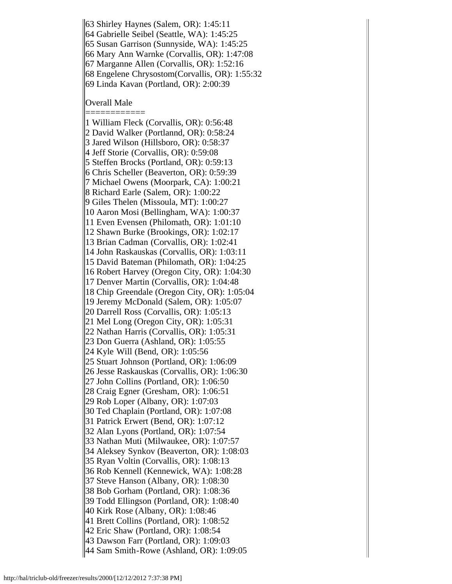63 Shirley Haynes (Salem, OR): 1:45:11

64 Gabrielle Seibel (Seattle, WA): 1:45:25

65 Susan Garrison (Sunnyside, WA): 1:45:25

66 Mary Ann Warnke (Corvallis, OR): 1:47:08

67 Marganne Allen (Corvallis, OR): 1:52:16

68 Engelene Chrysostom(Corvallis, OR): 1:55:32

69 Linda Kavan (Portland, OR): 2:00:39

Overall Male

============ 1 William Fleck (Corvallis, OR): 0:56:48 2 David Walker (Portlannd, OR): 0:58:24 3 Jared Wilson (Hillsboro, OR): 0:58:37 4 Jeff Storie (Corvallis, OR): 0:59:08 5 Steffen Brocks (Portland, OR): 0:59:13 6 Chris Scheller (Beaverton, OR): 0:59:39 7 Michael Owens (Moorpark, CA): 1:00:21 8 Richard Earle (Salem, OR): 1:00:22 9 Giles Thelen (Missoula, MT): 1:00:27 10 Aaron Mosi (Bellingham, WA): 1:00:37 11 Even Evensen (Philomath, OR): 1:01:10 12 Shawn Burke (Brookings, OR): 1:02:17 13 Brian Cadman (Corvallis, OR): 1:02:41 14 John Raskauskas (Corvallis, OR): 1:03:11 15 David Bateman (Philomath, OR): 1:04:25 16 Robert Harvey (Oregon City, OR): 1:04:30 17 Denver Martin (Corvallis, OR): 1:04:48 18 Chip Greendale (Oregon City, OR): 1:05:04 19 Jeremy McDonald (Salem, OR): 1:05:07 20 Darrell Ross (Corvallis, OR): 1:05:13 21 Mel Long (Oregon City, OR): 1:05:31 22 Nathan Harris (Corvallis, OR): 1:05:31 23 Don Guerra (Ashland, OR): 1:05:55 24 Kyle Will (Bend, OR): 1:05:56 25 Stuart Johnson (Portland, OR): 1:06:09 26 Jesse Raskauskas (Corvallis, OR): 1:06:30 27 John Collins (Portland, OR): 1:06:50 28 Craig Egner (Gresham, OR): 1:06:51 29 Rob Loper (Albany, OR): 1:07:03 30 Ted Chaplain (Portland, OR): 1:07:08 31 Patrick Erwert (Bend, OR): 1:07:12 32 Alan Lyons (Portland, OR): 1:07:54 33 Nathan Muti (Milwaukee, OR): 1:07:57 34 Aleksey Synkov (Beaverton, OR): 1:08:03 35 Ryan Voltin (Corvallis, OR): 1:08:13 36 Rob Kennell (Kennewick, WA): 1:08:28 37 Steve Hanson (Albany, OR): 1:08:30 38 Bob Gorham (Portland, OR): 1:08:36 39 Todd Ellingson (Portland, OR): 1:08:40 40 Kirk Rose (Albany, OR): 1:08:46 41 Brett Collins (Portland, OR): 1:08:52 42 Eric Shaw (Portland, OR): 1:08:54 43 Dawson Farr (Portland, OR): 1:09:03 44 Sam Smith-Rowe (Ashland, OR): 1:09:05

http://hal/triclub-old/freezer/results/2000/[12/12/2012 7:37:38 PM]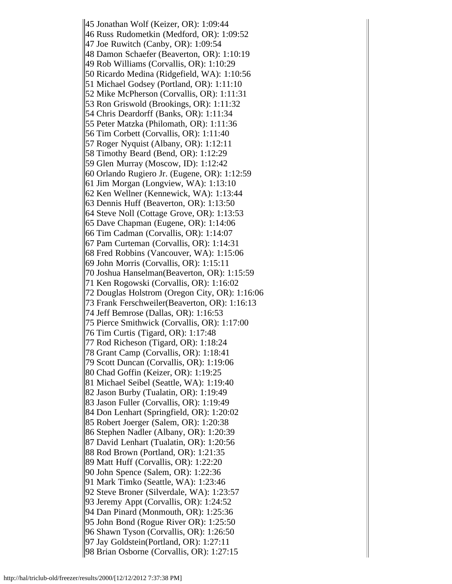45 Jonathan Wolf (Keizer, OR): 1:09:44 46 Russ Rudometkin (Medford, OR): 1:09:52 47 Joe Ruwitch (Canby, OR): 1:09:54 48 Damon Schaefer (Beaverton, OR): 1:10:19 49 Rob Williams (Corvallis, OR): 1:10:29 50 Ricardo Medina (Ridgefield, WA): 1:10:56 51 Michael Godsey (Portland, OR): 1:11:10 52 Mike McPherson (Corvallis, OR): 1:11:31 53 Ron Griswold (Brookings, OR): 1:11:32 54 Chris Deardorff (Banks, OR): 1:11:34 55 Peter Matzka (Philomath, OR): 1:11:36 56 Tim Corbett (Corvallis, OR): 1:11:40 57 Roger Nyquist (Albany, OR): 1:12:11 58 Timothy Beard (Bend, OR): 1:12:29 59 Glen Murray (Moscow, ID): 1:12:42 60 Orlando Rugiero Jr. (Eugene, OR): 1:12:59 61 Jim Morgan (Longview, WA): 1:13:10 62 Ken Wellner (Kennewick, WA): 1:13:44 63 Dennis Huff (Beaverton, OR): 1:13:50 64 Steve Noll (Cottage Grove, OR): 1:13:53 65 Dave Chapman (Eugene, OR): 1:14:06 66 Tim Cadman (Corvallis, OR): 1:14:07 67 Pam Curteman (Corvallis, OR): 1:14:31 68 Fred Robbins (Vancouver, WA): 1:15:06 69 John Morris (Corvallis, OR): 1:15:11 70 Joshua Hanselman(Beaverton, OR): 1:15:59 71 Ken Rogowski (Corvallis, OR): 1:16:02 72 Douglas Holstrom (Oregon City, OR): 1:16:06 73 Frank Ferschweiler(Beaverton, OR): 1:16:13 74 Jeff Bemrose (Dallas, OR): 1:16:53 75 Pierce Smithwick (Corvallis, OR): 1:17:00 76 Tim Curtis (Tigard, OR): 1:17:48 77 Rod Richeson (Tigard, OR): 1:18:24 78 Grant Camp (Corvallis, OR): 1:18:41 79 Scott Duncan (Corvallis, OR): 1:19:06 80 Chad Goffin (Keizer, OR): 1:19:25 81 Michael Seibel (Seattle, WA): 1:19:40 82 Jason Burby (Tualatin, OR): 1:19:49 83 Jason Fuller (Corvallis, OR): 1:19:49 84 Don Lenhart (Springfield, OR): 1:20:02 85 Robert Joerger (Salem, OR): 1:20:38 86 Stephen Nadler (Albany, OR): 1:20:39 87 David Lenhart (Tualatin, OR): 1:20:56 88 Rod Brown (Portland, OR): 1:21:35 89 Matt Huff (Corvallis, OR): 1:22:20 90 John Spence (Salem, OR): 1:22:36 91 Mark Timko (Seattle, WA): 1:23:46 92 Steve Broner (Silverdale, WA): 1:23:57 93 Jeremy Appt (Corvallis, OR): 1:24:52 94 Dan Pinard (Monmouth, OR): 1:25:36 95 John Bond (Rogue River OR): 1:25:50 96 Shawn Tyson (Corvallis, OR): 1:26:50 97 Jay Goldstein(Portland, OR): 1:27:11 98 Brian Osborne (Corvallis, OR): 1:27:15